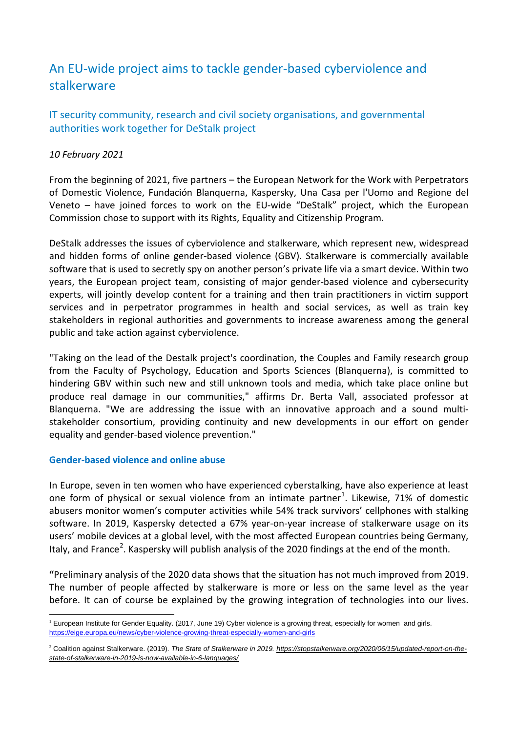# An EU-wide project aims to tackle gender-based cyberviolence and stalkerware

IT security community, research and civil society organisations, and governmental authorities work together for DeStalk project

## *10 February 2021*

From the beginning of 2021, five partners – the European Network for the Work with Perpetrators of Domestic Violence, Fundación Blanquerna, Kaspersky, Una Casa per l'Uomo and Regione del Veneto – have joined forces to work on the EU-wide "DeStalk" project, which the European Commission chose to support with its Rights, Equality and Citizenship Program.

DeStalk addresses the issues of cyberviolence and stalkerware, which represent new, widespread and hidden forms of online gender-based violence (GBV). Stalkerware is commercially available software that is used to secretly spy on another person's private life via a smart device. Within two years, the European project team, consisting of major gender-based violence and cybersecurity experts, will jointly develop content for a training and then train practitioners in victim support services and in perpetrator programmes in health and social services, as well as train key stakeholders in regional authorities and governments to increase awareness among the general public and take action against cyberviolence.

"Taking on the lead of the Destalk project's coordination, the Couples and Family research group from the Faculty of Psychology, Education and Sports Sciences (Blanquerna), is committed to hindering GBV within such new and still unknown tools and media, which take place online but produce real damage in our communities," affirms Dr. Berta Vall, associated professor at Blanquerna. "We are addressing the issue with an innovative approach and a sound multistakeholder consortium, providing continuity and new developments in our effort on gender equality and gender-based violence prevention."

### **Gender-based violence and online abuse**

In Europe, seven in ten women who have experienced cyberstalking, have also experience at least one form of physical or sexual violence from an intimate partner<sup>[1](#page-0-0)</sup>. Likewise, 71% of domestic abusers monitor women's computer activities while 54% track survivors' cellphones with stalking software. In 2019, Kaspersky detected a 67% year-on-year increase of stalkerware usage on its users' mobile devices at a global level, with the most affected European countries being Germany, Italy, and France<sup>[2](#page-0-1)</sup>. Kaspersky will publish analysis of the 2020 findings at the end of the month.

**"**Preliminary analysis of the 2020 data shows that the situation has not much improved from 2019. The number of people affected by stalkerware is more or less on the same level as the year before. It can of course be explained by the growing integration of technologies into our lives.

<span id="page-0-0"></span><sup>&</sup>lt;sup>1</sup> European Institute for Gender Equality. (2017, June 19) Cyber violence is a growing threat, especially for women and girls. <https://eige.europa.eu/news/cyber-violence-growing-threat-especially-women-and-girls>

<span id="page-0-1"></span><sup>2</sup> Coalition against Stalkerware. (2019). *The State of Stalkerware in 2019. [https://stopstalkerware.org/2020/06/15/updated-report-on-the](https://stopstalkerware.org/2020/06/15/updated-report-on-the-state-of-stalkerware-in-2019-is-now-available-in-6-languages/)[state-of-stalkerware-in-2019-is-now-available-in-6-languages/](https://stopstalkerware.org/2020/06/15/updated-report-on-the-state-of-stalkerware-in-2019-is-now-available-in-6-languages/)*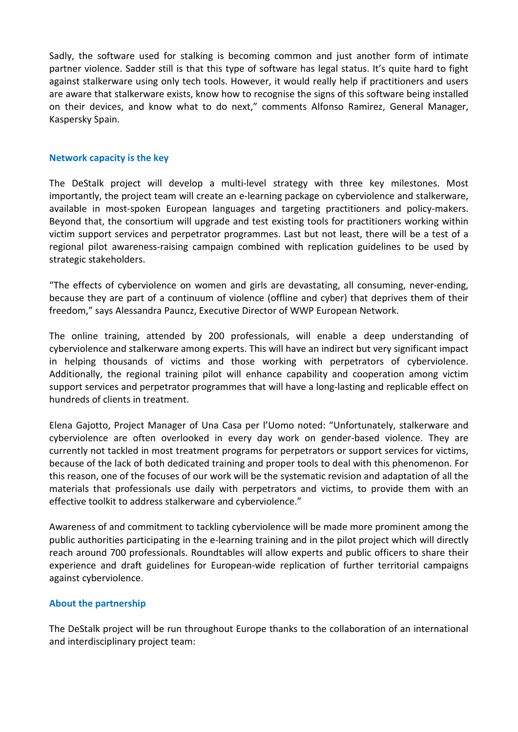Sadly, the software used for stalking is becoming common and just another form of intimate partner violence. Sadder still is that this type of software has legal status. It's quite hard to fight against stalkerware using only tech tools. However, it would really help if practitioners and users are aware that stalkerware exists, know how to recognise the signs of this software being installed on their devices, and know what to do next," comments Alfonso Ramirez, General Manager, Kaspersky Spain.

#### **Network capacity is the key**

The DeStalk project will develop a multi-level strategy with three key milestones. Most importantly, the project team will create an e-learning package on cyberviolence and stalkerware, available in most-spoken European languages and targeting practitioners and policy-makers. Beyond that, the consortium will upgrade and test existing tools for practitioners working within victim support services and perpetrator programmes. Last but not least, there will be a test of a regional pilot awareness-raising campaign combined with replication guidelines to be used by strategic stakeholders.

"The effects of cyberviolence on women and girls are devastating, all consuming, never-ending, because they are part of a continuum of violence (offline and cyber) that deprives them of their freedom," says Alessandra Pauncz, Executive Director of WWP European Network.

The online training, attended by 200 professionals, will enable a deep understanding of cyberviolence and stalkerware among experts. This will have an indirect but very significant impact in helping thousands of victims and those working with perpetrators of cyberviolence. Additionally, the regional training pilot will enhance capability and cooperation among victim support services and perpetrator programmes that will have a long-lasting and replicable effect on hundreds of clients in treatment.

Elena Gajotto, Project Manager of Una Casa per l'Uomo noted: "Unfortunately, stalkerware and cyberviolence are often overlooked in every day work on gender-based violence. They are currently not tackled in most treatment programs for perpetrators or support services for victims, because of the lack of both dedicated training and proper tools to deal with this phenomenon. For this reason, one of the focuses of our work will be the systematic revision and adaptation of all the materials that professionals use daily with perpetrators and victims, to provide them with an effective toolkit to address stalkerware and cyberviolence."

Awareness of and commitment to tackling cyberviolence will be made more prominent among the public authorities participating in the e-learning training and in the pilot project which will directly reach around 700 professionals. Roundtables will allow experts and public officers to share their experience and draft guidelines for European-wide replication of further territorial campaigns against cyberviolence.

### **About the partnership**

The DeStalk project will be run throughout Europe thanks to the collaboration of an international and interdisciplinary project team: